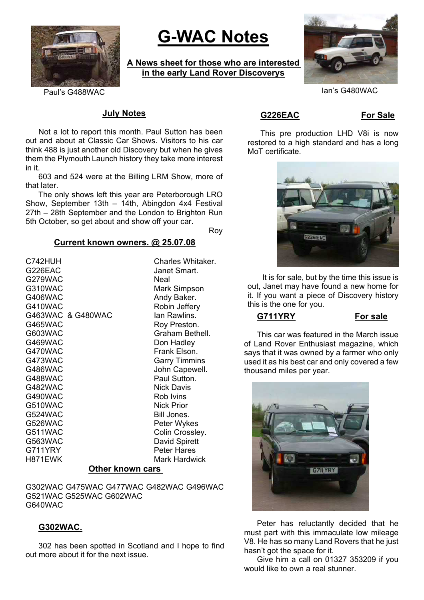

# **G-WAC Notes**

**A News sheet for those who are interested in the early Land Rover Discoverys**



### Paul's G488WAC Ian's G480WAC

#### **July Notes**

Not a lot to report this month. Paul Sutton has been out and about at Classic Car Shows. Visitors to his car think 488 is just another old Discovery but when he gives them the Plymouth Launch history they take more interest in it.

603 and 524 were at the Billing LRM Show, more of that later.

The only shows left this year are Peterborough LRO Show, September 13th – 14th, Abingdon 4x4 Festival 27th – 28th September and the London to Brighton Run 5th October, so get about and show off your car.

Roy

#### **Current known owners. @ 25.07.08**

C742HUH Charles Whitaker. G226EAC Janet Smart. G279WAC Neal G310WAC Mark Simpson G406WAC Andy Baker. G410WAC Robin Jeffery G463WAC & G480WAC Ian Rawlins. G465WAC Roy Preston. G603WAC Graham Bethell. G469WAC Don Hadley G470WAC Frank Elson. G473WAC Garry Timmins G486WAC John Capewell. G488WAC Paul Sutton.<br>G482WAC Nick Davis G482WAC G490WAC Rob Ivins G510WAC Nick Prior G524WAC Bill Jones. G526WAC Peter Wykes G511WAC Colin Crossley. G563WAC David Spirett G711YRY Peter Hares H871EWK Mark Hardwick

#### **Other known cars**

G302WAC G475WAC G477WAC G482WAC G496WAC G521WAC G525WAC G602WAC G640WAC

## **G302WAC.**

302 has been spotted in Scotland and I hope to find out more about it for the next issue.

G226EAC For Sale

This pre production LHD V8i is now restored to a high standard and has a long MoT certificate.



It is for sale, but by the time this issue is out, Janet may have found a new home for it. If you want a piece of Discovery history this is the one for you.

**G711YRY For sale**

This car was featured in the March issue of Land Rover Enthusiast magazine, which says that it was owned by a farmer who only used it as his best car and only covered a few thousand miles per year.



Peter has reluctantly decided that he must part with this immaculate low mileage V8. He has so many Land Rovers that he just hasn't got the space for it.

Give him a call on 01327 353209 if you would like to own a real stunner.